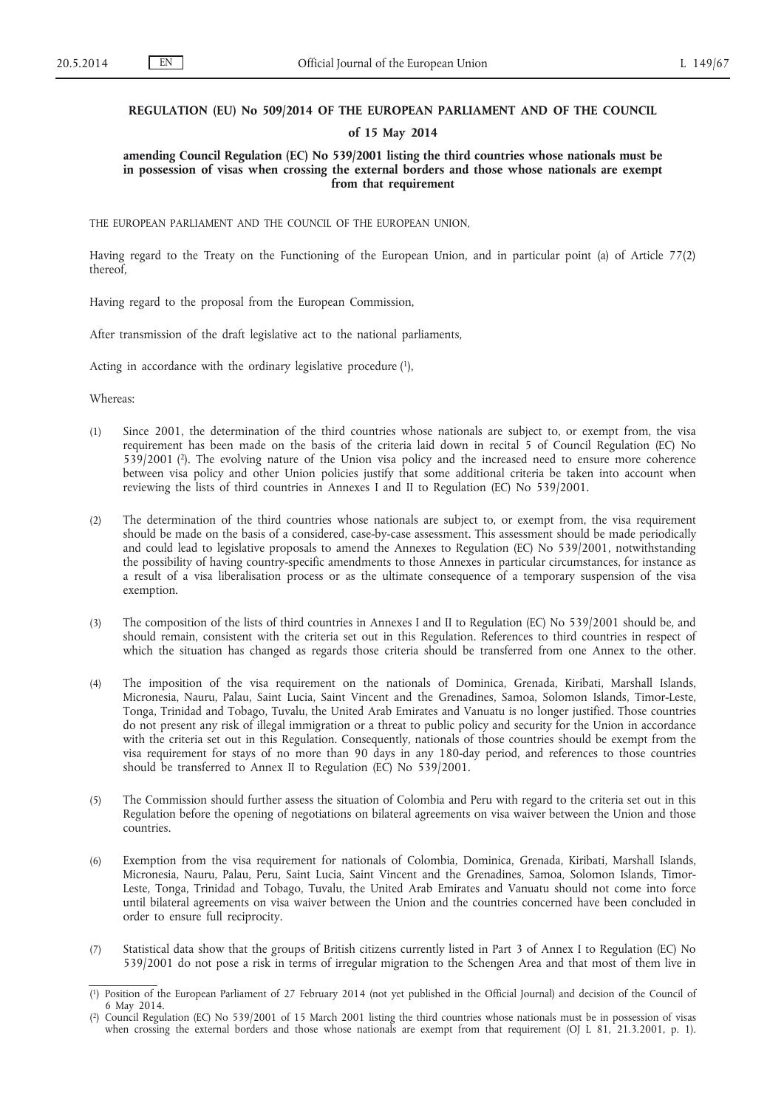## **REGULATION (EU) No 509/2014 OF THE EUROPEAN PARLIAMENT AND OF THE COUNCIL**

## **of 15 May 2014**

## **amending Council Regulation (EC) No 539/2001 listing the third countries whose nationals must be in possession of visas when crossing the external borders and those whose nationals are exempt from that requirement**

THE EUROPEAN PARLIAMENT AND THE COUNCIL OF THE EUROPEAN UNION,

Having regard to the Treaty on the Functioning of the European Union, and in particular point (a) of Article 77(2) thereof,

Having regard to the proposal from the European Commission,

After transmission of the draft legislative act to the national parliaments,

Acting in accordance with the ordinary legislative procedure  $(1)$ ,

Whereas:

- (1) Since 2001, the determination of the third countries whose nationals are subject to, or exempt from, the visa requirement has been made on the basis of the criteria laid down in recital 5 of Council Regulation (EC) No 539/2001 (2). The evolving nature of the Union visa policy and the increased need to ensure more coherence between visa policy and other Union policies justify that some additional criteria be taken into account when reviewing the lists of third countries in Annexes I and II to Regulation (EC) No 539/2001.
- (2) The determination of the third countries whose nationals are subject to, or exempt from, the visa requirement should be made on the basis of a considered, case-by-case assessment. This assessment should be made periodically and could lead to legislative proposals to amend the Annexes to Regulation (EC) No 539/2001, notwithstanding the possibility of having country-specific amendments to those Annexes in particular circumstances, for instance as a result of a visa liberalisation process or as the ultimate consequence of a temporary suspension of the visa exemption.
- (3) The composition of the lists of third countries in Annexes I and II to Regulation (EC) No 539/2001 should be, and should remain, consistent with the criteria set out in this Regulation. References to third countries in respect of which the situation has changed as regards those criteria should be transferred from one Annex to the other.
- (4) The imposition of the visa requirement on the nationals of Dominica, Grenada, Kiribati, Marshall Islands, Micronesia, Nauru, Palau, Saint Lucia, Saint Vincent and the Grenadines, Samoa, Solomon Islands, Timor-Leste, Tonga, Trinidad and Tobago, Tuvalu, the United Arab Emirates and Vanuatu is no longer justified. Those countries do not present any risk of illegal immigration or a threat to public policy and security for the Union in accordance with the criteria set out in this Regulation. Consequently, nationals of those countries should be exempt from the visa requirement for stays of no more than 90 days in any 180-day period, and references to those countries should be transferred to Annex II to Regulation (EC) No 539/2001.
- (5) The Commission should further assess the situation of Colombia and Peru with regard to the criteria set out in this Regulation before the opening of negotiations on bilateral agreements on visa waiver between the Union and those countries.
- (6) Exemption from the visa requirement for nationals of Colombia, Dominica, Grenada, Kiribati, Marshall Islands, Micronesia, Nauru, Palau, Peru, Saint Lucia, Saint Vincent and the Grenadines, Samoa, Solomon Islands, Timor-Leste, Tonga, Trinidad and Tobago, Tuvalu, the United Arab Emirates and Vanuatu should not come into force until bilateral agreements on visa waiver between the Union and the countries concerned have been concluded in order to ensure full reciprocity.
- (7) Statistical data show that the groups of British citizens currently listed in Part 3 of Annex I to Regulation (EC) No 539/2001 do not pose a risk in terms of irregular migration to the Schengen Area and that most of them live in

<sup>(</sup> 1) Position of the European Parliament of 27 February 2014 (not yet published in the Official Journal) and decision of the Council of 6 May 2014.

<sup>(</sup> 2) Council Regulation (EC) No 539/2001 of 15 March 2001 listing the third countries whose nationals must be in possession of visas when crossing the external borders and those whose nationals are exempt from that requirement (OJ L 81, 21.3.2001, p. 1).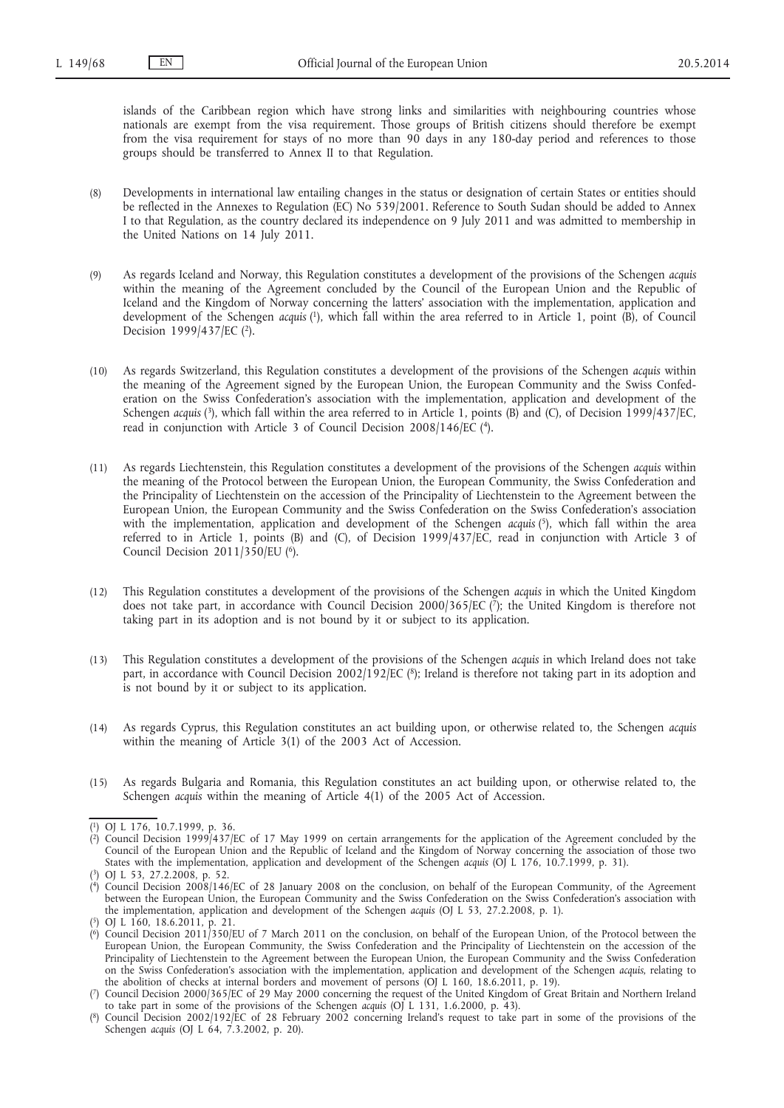islands of the Caribbean region which have strong links and similarities with neighbouring countries whose nationals are exempt from the visa requirement. Those groups of British citizens should therefore be exempt from the visa requirement for stays of no more than 90 days in any 180-day period and references to those groups should be transferred to Annex II to that Regulation.

- (8) Developments in international law entailing changes in the status or designation of certain States or entities should be reflected in the Annexes to Regulation (EC) No 539/2001. Reference to South Sudan should be added to Annex I to that Regulation, as the country declared its independence on 9 July 2011 and was admitted to membership in the United Nations on 14 July 2011.
- (9) As regards Iceland and Norway, this Regulation constitutes a development of the provisions of the Schengen *acquis* within the meaning of the Agreement concluded by the Council of the European Union and the Republic of Iceland and the Kingdom of Norway concerning the latters' association with the implementation, application and development of the Schengen *acquis* (1), which fall within the area referred to in Article 1, point (B), of Council Decision 1999/437/EC (2).
- (10) As regards Switzerland, this Regulation constitutes a development of the provisions of the Schengen *acquis* within the meaning of the Agreement signed by the European Union, the European Community and the Swiss Confederation on the Swiss Confederation's association with the implementation, application and development of the Schengen *acquis* (3), which fall within the area referred to in Article 1, points (B) and (C), of Decision 1999/437/EC, read in conjunction with Article 3 of Council Decision 2008/146/EC (4).
- (11) As regards Liechtenstein, this Regulation constitutes a development of the provisions of the Schengen *acquis* within the meaning of the Protocol between the European Union, the European Community, the Swiss Confederation and the Principality of Liechtenstein on the accession of the Principality of Liechtenstein to the Agreement between the European Union, the European Community and the Swiss Confederation on the Swiss Confederation's association with the implementation, application and development of the Schengen *acquis* (5), which fall within the area referred to in Article 1, points (B) and (C), of Decision 1999/437/EC, read in conjunction with Article 3 of Council Decision 2011/350/EU (6).
- (12) This Regulation constitutes a development of the provisions of the Schengen *acquis* in which the United Kingdom does not take part, in accordance with Council Decision 2000/365/EC  $(\bar{7})$ ; the United Kingdom is therefore not taking part in its adoption and is not bound by it or subject to its application.
- (13) This Regulation constitutes a development of the provisions of the Schengen *acquis* in which Ireland does not take part, in accordance with Council Decision 2002/192/EC (8); Ireland is therefore not taking part in its adoption and is not bound by it or subject to its application.
- (14) As regards Cyprus, this Regulation constitutes an act building upon, or otherwise related to, the Schengen *acquis* within the meaning of Article 3(1) of the 2003 Act of Accession.
- (15) As regards Bulgaria and Romania, this Regulation constitutes an act building upon, or otherwise related to, the Schengen *acquis* within the meaning of Article 4(1) of the 2005 Act of Accession.

<sup>(</sup> 1) OJ L 176, 10.7.1999, p. 36.

<sup>(</sup> 2) Council Decision 1999/437/EC of 17 May 1999 on certain arrangements for the application of the Agreement concluded by the Council of the European Union and the Republic of Iceland and the Kingdom of Norway concerning the association of those two States with the implementation, application and development of the Schengen *acquis* (OJ L 176, 10.7.1999, p. 31).

<sup>(</sup> 3) OJ L 53, 27.2.2008, p. 52.

<sup>(</sup> 4) Council Decision 2008/146/EC of 28 January 2008 on the conclusion, on behalf of the European Community, of the Agreement between the European Union, the European Community and the Swiss Confederation on the Swiss Confederation's association with the implementation, application and development of the Schengen *acquis* (OJ L 53, 27.2.2008, p. 1).

<sup>(</sup> 5) OJ L 160, 18.6.2011, p. 21.

<sup>(</sup> 6) Council Decision 2011/350/EU of 7 March 2011 on the conclusion, on behalf of the European Union, of the Protocol between the European Union, the European Community, the Swiss Confederation and the Principality of Liechtenstein on the accession of the Principality of Liechtenstein to the Agreement between the European Union, the European Community and the Swiss Confederation on the Swiss Confederation's association with the implementation, application and development of the Schengen *acquis*, relating to the abolition of checks at internal borders and movement of persons (OJ L 160, 18.6.2011, p. 19).

<sup>(</sup> 7) Council Decision 2000/365/EC of 29 May 2000 concerning the request of the United Kingdom of Great Britain and Northern Ireland to take part in some of the provisions of the Schengen *acquis* (OJ L 131, 1.6.2000, p. 43).

<sup>(</sup> Council Decision 2002/192/EC of 28 February 2002 concerning Ireland's request to take part in some of the provisions of the Schengen *acquis* (OJ L 64, 7.3.2002, p. 20).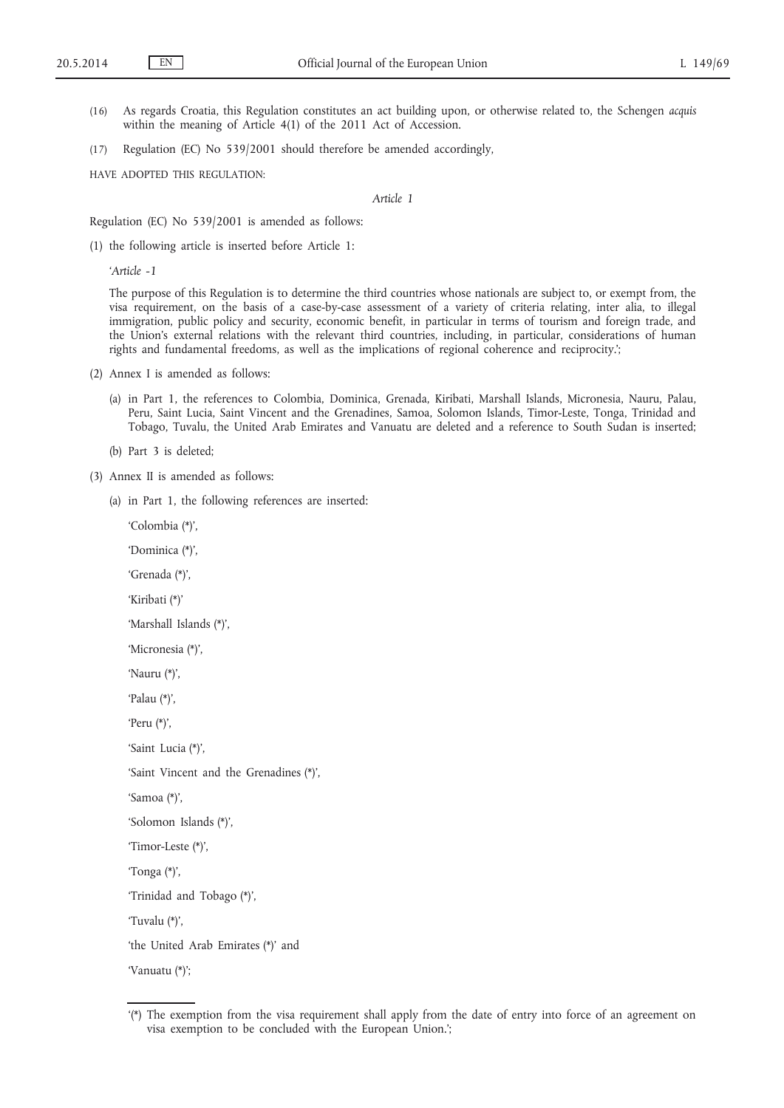- (16) As regards Croatia, this Regulation constitutes an act building upon, or otherwise related to, the Schengen *acquis* within the meaning of Article 4(1) of the 2011 Act of Accession.
- (17) Regulation (EC) No 539/2001 should therefore be amended accordingly,

HAVE ADOPTED THIS REGULATION:

*Article 1*

Regulation (EC) No 539/2001 is amended as follows:

(1) the following article is inserted before Article 1:

*'Article -1*

The purpose of this Regulation is to determine the third countries whose nationals are subject to, or exempt from, the visa requirement, on the basis of a case-by-case assessment of a variety of criteria relating, inter alia, to illegal immigration, public policy and security, economic benefit, in particular in terms of tourism and foreign trade, and the Union's external relations with the relevant third countries, including, in particular, considerations of human rights and fundamental freedoms, as well as the implications of regional coherence and reciprocity.';

- (2) Annex I is amended as follows:
	- (a) in Part 1, the references to Colombia, Dominica, Grenada, Kiribati, Marshall Islands, Micronesia, Nauru, Palau, Peru, Saint Lucia, Saint Vincent and the Grenadines, Samoa, Solomon Islands, Timor-Leste, Tonga, Trinidad and Tobago, Tuvalu, the United Arab Emirates and Vanuatu are deleted and a reference to South Sudan is inserted;
	- (b) Part 3 is deleted;
- (3) Annex II is amended as follows:
	- (a) in Part 1, the following references are inserted:
		- 'Colombia (\*)', 'Dominica (\*)', 'Grenada (\*)', 'Kiribati (\*)' 'Marshall Islands (\*)', 'Micronesia (\*)', 'Nauru (\*)', 'Palau (\*)', 'Peru (\*)', 'Saint Lucia (\*)', 'Saint Vincent and the Grenadines (\*)', 'Samoa (\*)', 'Solomon Islands (\*)', 'Timor-Leste (\*)', 'Tonga (\*)', 'Trinidad and Tobago (\*)', 'Tuvalu (\*)', 'the United Arab Emirates (\*)' and 'Vanuatu (\*)';

<sup>&#</sup>x27;(\*) The exemption from the visa requirement shall apply from the date of entry into force of an agreement on visa exemption to be concluded with the European Union.';